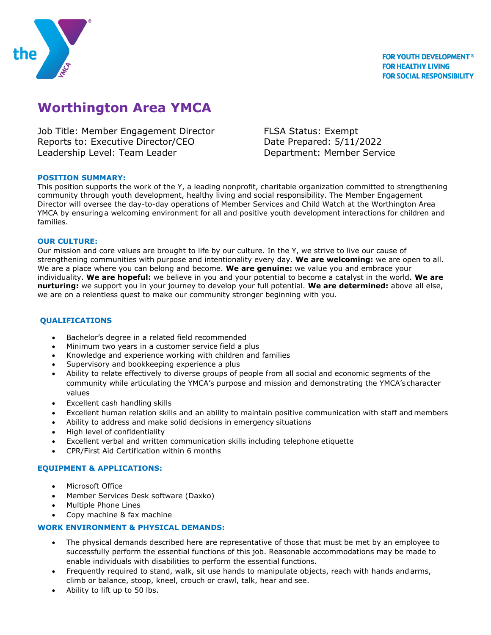

# **Worthington Area YMCA**

Job Title: Member Engagement Director FLSA Status: Exempt Reports to: Executive Director/CEO Date Prepared: 5/11/2022 Leadership Level: Team Leader **Department: Member Service** 

## **POSITION SUMMARY:**

This position supports the work of the Y, a leading nonprofit, charitable organization committed to strengthening community through youth development, healthy living and social responsibility. The Member Engagement Director will oversee the day-to-day operations of Member Services and Child Watch at the Worthington Area YMCA by ensuringa welcoming environment for all and positive youth development interactions for children and families.

## **OUR CULTURE:**

Our mission and core values are brought to life by our culture. In the Y, we strive to live our cause of strengthening communities with purpose and intentionality every day. **We are welcoming:** we are open to all. We are a place where you can belong and become. **We are genuine:** we value you and embrace your individuality. **We are hopeful:** we believe in you and your potential to become a catalyst in the world. **We are nurturing:** we support you in your journey to develop your full potential. **We are determined:** above all else, we are on a relentless quest to make our community stronger beginning with you.

## **QUALIFICATIONS**

- Bachelor's degree in a related field recommended
- Minimum two years in a customer service field a plus
- Knowledge and experience working with children and families
- Supervisory and bookkeeping experience a plus
- Ability to relate effectively to diverse groups of people from all social and economic segments of the community while articulating the YMCA's purpose and mission and demonstrating the YMCA's character values
- Excellent cash handling skills
- Excellent human relation skills and an ability to maintain positive communication with staff and members
- Ability to address and make solid decisions in emergency situations
- High level of confidentiality
- Excellent verbal and written communication skills including telephone etiquette
- CPR/First Aid Certification within 6 months

## **EQUIPMENT & APPLICATIONS:**

- Microsoft Office
- Member Services Desk software (Daxko)
- Multiple Phone Lines
- Copy machine & fax machine

# **WORK ENVIRONMENT & PHYSICAL DEMANDS:**

- The physical demands described here are representative of those that must be met by an employee to successfully perform the essential functions of this job. Reasonable accommodations may be made to enable individuals with disabilities to perform the essential functions.
- Frequently required to stand, walk, sit use hands to manipulate objects, reach with hands andarms, climb or balance, stoop, kneel, crouch or crawl, talk, hear and see.
- Ability to lift up to 50 lbs.